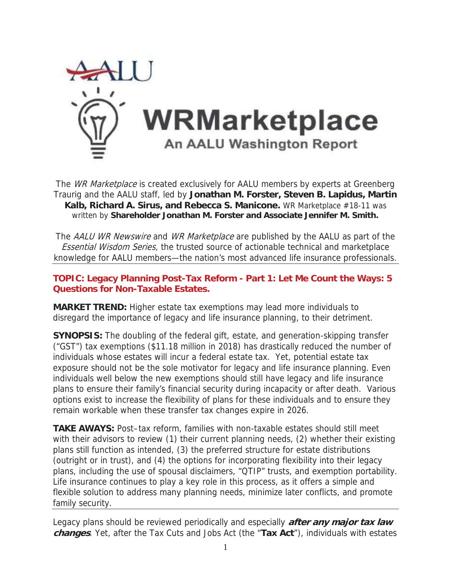

The *WR Marketplace* is created exclusively for AALU members by experts at Greenberg Traurig and the AALU staff, led by **Jonathan M. Forster, Steven B. Lapidus, Martin Kalb, Richard A. Sirus, and Rebecca S. Manicone.** WR Marketplace #18-11 was written by **Shareholder Jonathan M. Forster and Associate Jennifer M. Smith.**

The AALU WR Newswire and WR Marketplace are published by the AALU as part of the Essential Wisdom Series, the trusted source of actionable technical and marketplace knowledge for AALU members—the nation's most advanced life insurance professionals.

## **TOPIC: Legacy Planning Post-Tax Reform - Part 1: Let Me Count the Ways: 5 Questions for Non-Taxable Estates.**

**MARKET TREND:** Higher estate tax exemptions may lead more individuals to disregard the importance of legacy and life insurance planning, to their detriment.

**SYNOPSIS:** The doubling of the federal gift, estate, and generation-skipping transfer ("GST") tax exemptions (\$11.18 million in 2018) has drastically reduced the number of individuals whose estates will incur a federal estate tax. Yet, potential estate tax exposure should not be the sole motivator for legacy and life insurance planning. Even individuals well below the new exemptions should still have legacy and life insurance plans to ensure their family's financial security during incapacity or after death. Various options exist to increase the flexibility of plans for these individuals and to ensure they remain workable when these transfer tax changes expire in 2026.

**TAKE AWAYS:** Post–tax reform, families with non-taxable estates should still meet with their advisors to review (1) their current planning needs, (2) whether their existing plans still function as intended, (3) the preferred structure for estate distributions (outright or in trust), and (4) the options for incorporating flexibility into their legacy plans, including the use of spousal disclaimers, "QTIP" trusts, and exemption portability. Life insurance continues to play a key role in this process, as it offers a simple and flexible solution to address many planning needs, minimize later conflicts, and promote family security.

Legacy plans should be reviewed periodically and especially **after any major tax law changes**. Yet, after the Tax Cuts and Jobs Act (the "**Tax Act**"), individuals with estates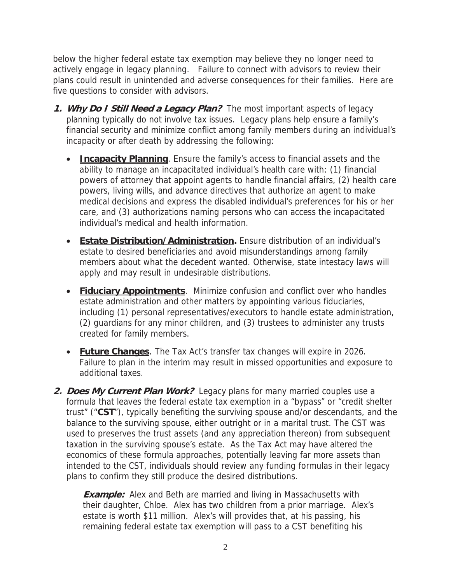below the higher federal estate tax exemption may believe they no longer need to actively engage in legacy planning. Failure to connect with advisors to review their plans could result in unintended and adverse consequences for their families. Here are five questions to consider with advisors.

- **1. Why Do I Still Need a Legacy Plan?** The most important aspects of legacy planning typically do not involve tax issues. Legacy plans help ensure a family's financial security and minimize conflict among family members during an individual's incapacity or after death by addressing the following:
	- **Incapacity Planning**. Ensure the family's access to financial assets and the ability to manage an incapacitated individual's health care with: (1) financial powers of attorney that appoint agents to handle financial affairs, (2) health care powers, living wills, and advance directives that authorize an agent to make medical decisions and express the disabled individual's preferences for his or her care, and (3) authorizations naming persons who can access the incapacitated individual's medical and health information.
	- **Estate Distribution/Administration.** Ensure distribution of an individual's estate to desired beneficiaries and avoid misunderstandings among family members about what the decedent wanted. Otherwise, state intestacy laws will apply and may result in undesirable distributions.
	- **Fiduciary Appointments**. Minimize confusion and conflict over who handles estate administration and other matters by appointing various fiduciaries, including (1) personal representatives/executors to handle estate administration, (2) guardians for any minor children, and (3) trustees to administer any trusts created for family members.
	- **Euture Changes**. The Tax Act's transfer tax changes will expire in 2026. Failure to plan in the interim may result in missed opportunities and exposure to additional taxes.
- **2. Does My Current Plan Work?** Legacy plans for many married couples use a formula that leaves the federal estate tax exemption in a "bypass" or "credit shelter trust" ("**CST**"), typically benefiting the surviving spouse and/or descendants, and the balance to the surviving spouse, either outright or in a marital trust. The CST was used to preserves the trust assets (and any appreciation thereon) from subsequent taxation in the surviving spouse's estate. As the Tax Act may have altered the economics of these formula approaches, potentially leaving far more assets than intended to the CST, individuals should review any funding formulas in their legacy plans to confirm they still produce the desired distributions.

**Example:** Alex and Beth are married and living in Massachusetts with their daughter, Chloe. Alex has two children from a prior marriage. Alex's estate is worth \$11 million. Alex's will provides that, at his passing, his remaining federal estate tax exemption will pass to a CST benefiting his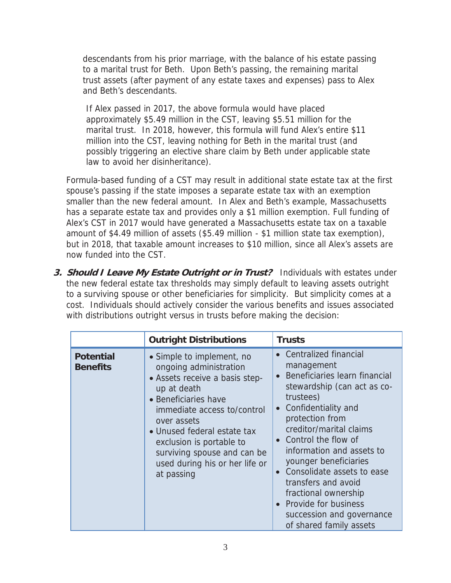descendants from his prior marriage, with the balance of his estate passing to a marital trust for Beth. Upon Beth's passing, the remaining marital trust assets (after payment of any estate taxes and expenses) pass to Alex and Beth's descendants.

If Alex passed in 2017, the above formula would have placed approximately \$5.49 million in the CST, leaving \$5.51 million for the marital trust. In 2018, however, this formula will fund Alex's entire \$11 million into the CST, leaving nothing for Beth in the marital trust (and possibly triggering an elective share claim by Beth under applicable state law to avoid her disinheritance).

Formula-based funding of a CST may result in additional state estate tax at the first spouse's passing if the state imposes a separate estate tax with an exemption smaller than the new federal amount. In Alex and Beth's example, Massachusetts has a separate estate tax and provides only a \$1 million exemption. Full funding of Alex's CST in 2017 would have generated a Massachusetts estate tax on a taxable amount of \$4.49 million of assets (\$5.49 million - \$1 million state tax exemption), but in 2018, that taxable amount increases to \$10 million, since all Alex's assets are now funded into the CST.

**3. Should I Leave My Estate Outright or in Trust?** Individuals with estates under the new federal estate tax thresholds may simply default to leaving assets outright to a surviving spouse or other beneficiaries for simplicity. But simplicity comes at a cost. Individuals should actively consider the various benefits and issues associated with distributions outright versus in trusts before making the decision:

|                                     | <b>Outright Distributions</b>                                                                                                                                                                                                                                                                                        | <b>Trusts</b>                                                                                                                                                                                                                                                                                                                                                                                                                                   |
|-------------------------------------|----------------------------------------------------------------------------------------------------------------------------------------------------------------------------------------------------------------------------------------------------------------------------------------------------------------------|-------------------------------------------------------------------------------------------------------------------------------------------------------------------------------------------------------------------------------------------------------------------------------------------------------------------------------------------------------------------------------------------------------------------------------------------------|
| <b>Potential</b><br><b>Benefits</b> | • Simple to implement, no<br>ongoing administration<br>• Assets receive a basis step-<br>up at death<br>• Beneficiaries have<br>immediate access to/control<br>over assets<br>• Unused federal estate tax<br>exclusion is portable to<br>surviving spouse and can be<br>used during his or her life or<br>at passing | <b>Centralized financial</b><br>management<br>Beneficiaries learn financial<br>stewardship (can act as co-<br>trustees)<br>Confidentiality and<br>protection from<br>creditor/marital claims<br>• Control the flow of<br>information and assets to<br>younger beneficiaries<br>Consolidate assets to ease<br>transfers and avoid<br>fractional ownership<br><b>Provide for business</b><br>succession and governance<br>of shared family assets |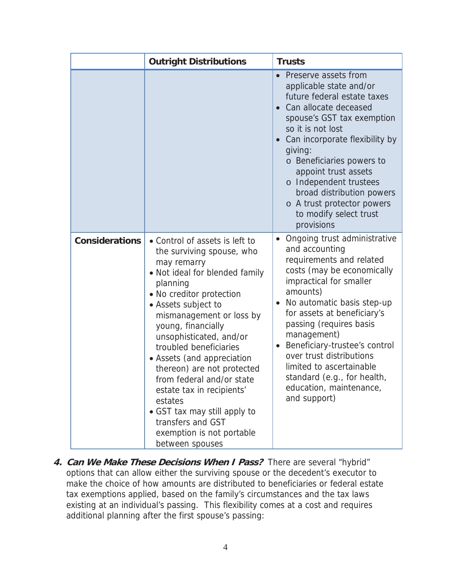|                       | <b>Outright Distributions</b>                                                                                                                                                                                                                                                                                                                                                                                                                                                                                            | <b>Trusts</b>                                                                                                                                                                                                                                                                                                                                                                                                             |
|-----------------------|--------------------------------------------------------------------------------------------------------------------------------------------------------------------------------------------------------------------------------------------------------------------------------------------------------------------------------------------------------------------------------------------------------------------------------------------------------------------------------------------------------------------------|---------------------------------------------------------------------------------------------------------------------------------------------------------------------------------------------------------------------------------------------------------------------------------------------------------------------------------------------------------------------------------------------------------------------------|
|                       |                                                                                                                                                                                                                                                                                                                                                                                                                                                                                                                          | Preserve assets from<br>applicable state and/or<br>future federal estate taxes<br>Can allocate deceased<br>spouse's GST tax exemption<br>so it is not lost<br>Can incorporate flexibility by<br>giving:<br>o Beneficiaries powers to<br>appoint trust assets<br>o Independent trustees<br>broad distribution powers<br>o A trust protector powers<br>to modify select trust<br>provisions                                 |
| <b>Considerations</b> | • Control of assets is left to<br>the surviving spouse, who<br>may remarry<br>• Not ideal for blended family<br>planning<br>• No creditor protection<br>• Assets subject to<br>mismanagement or loss by<br>young, financially<br>unsophisticated, and/or<br>troubled beneficiaries<br>• Assets (and appreciation<br>thereon) are not protected<br>from federal and/or state<br>estate tax in recipients'<br>estates<br>• GST tax may still apply to<br>transfers and GST<br>exemption is not portable<br>between spouses | Ongoing trust administrative<br>and accounting<br>requirements and related<br>costs (may be economically<br>impractical for smaller<br>amounts)<br>No automatic basis step-up<br>for assets at beneficiary's<br>passing (requires basis<br>management)<br>Beneficiary-trustee's control<br>over trust distributions<br>limited to ascertainable<br>standard (e.g., for health,<br>education, maintenance,<br>and support) |

**4. Can We Make These Decisions When I Pass?** There are several "hybrid" options that can allow either the surviving spouse or the decedent's executor to make the choice of how amounts are distributed to beneficiaries or federal estate tax exemptions applied, based on the family's circumstances and the tax laws existing at an individual's passing. This flexibility comes at a cost and requires additional planning after the first spouse's passing: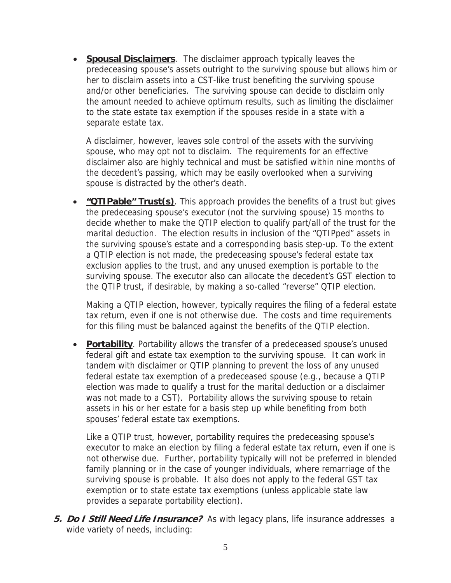**Spousal Disclaimers**. The disclaimer approach typically leaves the predeceasing spouse's assets outright to the surviving spouse but allows him or her to disclaim assets into a CST-like trust benefiting the surviving spouse and/or other beneficiaries. The surviving spouse can decide to disclaim only the amount needed to achieve optimum results, such as limiting the disclaimer to the state estate tax exemption if the spouses reside in a state with a separate estate tax.

A disclaimer, however, leaves sole control of the assets with the surviving spouse, who may opt not to disclaim. The requirements for an effective disclaimer also are highly technical and must be satisfied within nine months of the decedent's passing, which may be easily overlooked when a surviving spouse is distracted by the other's death.

**• "OTIPable" Trust(s)**. This approach provides the benefits of a trust but gives the predeceasing spouse's executor (not the surviving spouse) 15 months to decide whether to make the QTIP election to qualify part/all of the trust for the marital deduction. The election results in inclusion of the "QTIPped" assets in the surviving spouse's estate and a corresponding basis step-up. To the extent a QTIP election is not made, the predeceasing spouse's federal estate tax exclusion applies to the trust, and any unused exemption is portable to the surviving spouse. The executor also can allocate the decedent's GST election to the QTIP trust, if desirable, by making a so-called "reverse" QTIP election.

Making a QTIP election, however, typically requires the filing of a federal estate tax return, even if one is not otherwise due. The costs and time requirements for this filing must be balanced against the benefits of the QTIP election.

• **Portability**. Portability allows the transfer of a predeceased spouse's unused federal gift and estate tax exemption to the surviving spouse. It can work in tandem with disclaimer or QTIP planning to prevent the loss of any unused federal estate tax exemption of a predeceased spouse (e.g., because a QTIP election was made to qualify a trust for the marital deduction or a disclaimer was not made to a CST). Portability allows the surviving spouse to retain assets in his or her estate for a basis step up while benefiting from both spouses' federal estate tax exemptions.

Like a QTIP trust, however, portability requires the predeceasing spouse's executor to make an election by filing a federal estate tax return, even if one is not otherwise due. Further, portability typically will not be preferred in blended family planning or in the case of younger individuals, where remarriage of the surviving spouse is probable. It also does not apply to the federal GST tax exemption or to state estate tax exemptions (unless applicable state law provides a separate portability election).

**5. Do I Still Need Life Insurance?** As with legacy plans, life insurance addresses a wide variety of needs, including: